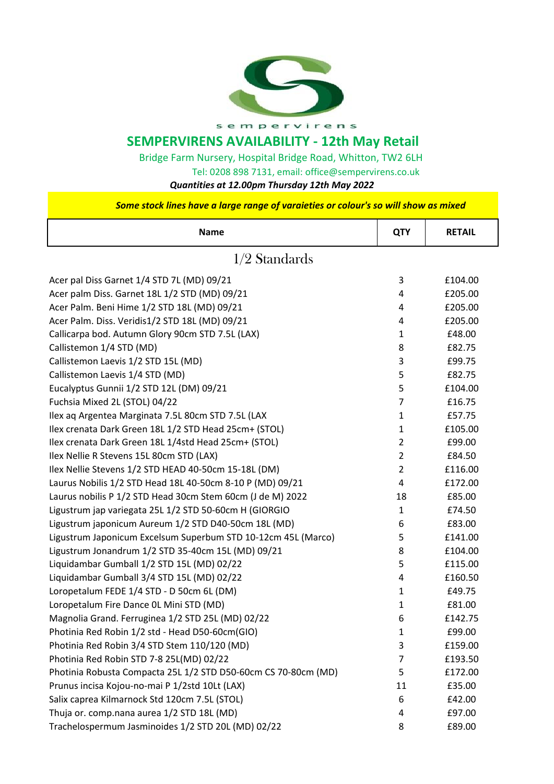

## **SEMPERVIRENS AVAILABILITY - 12th May Retail**

Bridge Farm Nursery, Hospital Bridge Road, Whitton, TW2 6LH

Tel: 0208 898 7131, email: office@sempervirens.co.uk

*Quantities at 12.00pm Thursday 12th May 2022*

 *Some stock lines have a large range of varaieties or colour's so will show as mixed* 

| <b>Name</b>                                                    | <b>QTY</b>     | <b>RETAIL</b> |
|----------------------------------------------------------------|----------------|---------------|
| $1/2$ Standards                                                |                |               |
| Acer pal Diss Garnet 1/4 STD 7L (MD) 09/21                     | 3              | £104.00       |
| Acer palm Diss. Garnet 18L 1/2 STD (MD) 09/21                  | 4              | £205.00       |
| Acer Palm. Beni Hime 1/2 STD 18L (MD) 09/21                    | 4              | £205.00       |
| Acer Palm. Diss. Veridis1/2 STD 18L (MD) 09/21                 | 4              | £205.00       |
| Callicarpa bod. Autumn Glory 90cm STD 7.5L (LAX)               | 1              | £48.00        |
| Callistemon 1/4 STD (MD)                                       | 8              | £82.75        |
| Callistemon Laevis 1/2 STD 15L (MD)                            | 3              | £99.75        |
| Callistemon Laevis 1/4 STD (MD)                                | 5              | £82.75        |
| Eucalyptus Gunnii 1/2 STD 12L (DM) 09/21                       | 5              | £104.00       |
| Fuchsia Mixed 2L (STOL) 04/22                                  | 7              | £16.75        |
| Ilex aq Argentea Marginata 7.5L 80cm STD 7.5L (LAX             | $\mathbf{1}$   | £57.75        |
| Ilex crenata Dark Green 18L 1/2 STD Head 25cm+ (STOL)          | 1              | £105.00       |
| Ilex crenata Dark Green 18L 1/4std Head 25cm+ (STOL)           | $\overline{2}$ | £99.00        |
| Ilex Nellie R Stevens 15L 80cm STD (LAX)                       | $\overline{2}$ | £84.50        |
| Ilex Nellie Stevens 1/2 STD HEAD 40-50cm 15-18L (DM)           | $\overline{2}$ | £116.00       |
| Laurus Nobilis 1/2 STD Head 18L 40-50cm 8-10 P (MD) 09/21      | 4              | £172.00       |
| Laurus nobilis P 1/2 STD Head 30cm Stem 60cm (J de M) 2022     | 18             | £85.00        |
| Ligustrum jap variegata 25L 1/2 STD 50-60cm H (GIORGIO         | $\mathbf{1}$   | £74.50        |
| Ligustrum japonicum Aureum 1/2 STD D40-50cm 18L (MD)           | 6              | £83.00        |
| Ligustrum Japonicum Excelsum Superbum STD 10-12cm 45L (Marco)  | 5              | £141.00       |
| Ligustrum Jonandrum 1/2 STD 35-40cm 15L (MD) 09/21             | 8              | £104.00       |
| Liquidambar Gumball 1/2 STD 15L (MD) 02/22                     | 5              | £115.00       |
| Liquidambar Gumball 3/4 STD 15L (MD) 02/22                     | 4              | £160.50       |
| Loropetalum FEDE 1/4 STD - D 50cm 6L (DM)                      | 1              | £49.75        |
| Loropetalum Fire Dance OL Mini STD (MD)                        | 1              | £81.00        |
| Magnolia Grand. Ferruginea 1/2 STD 25L (MD) 02/22              | 6              | £142.75       |
| Photinia Red Robin 1/2 std - Head D50-60cm(GIO)                | 1              | £99.00        |
| Photinia Red Robin 3/4 STD Stem 110/120 (MD)                   | 3              | £159.00       |
| Photinia Red Robin STD 7-8 25L(MD) 02/22                       | 7              | £193.50       |
| Photinia Robusta Compacta 25L 1/2 STD D50-60cm CS 70-80cm (MD) | 5              | £172.00       |
| Prunus incisa Kojou-no-mai P 1/2std 10Lt (LAX)                 | 11             | £35.00        |
| Salix caprea Kilmarnock Std 120cm 7.5L (STOL)                  | 6              | £42.00        |
| Thuja or. comp.nana aurea 1/2 STD 18L (MD)                     | 4              | £97.00        |
| Trachelospermum Jasminoides 1/2 STD 20L (MD) 02/22             | 8              | £89.00        |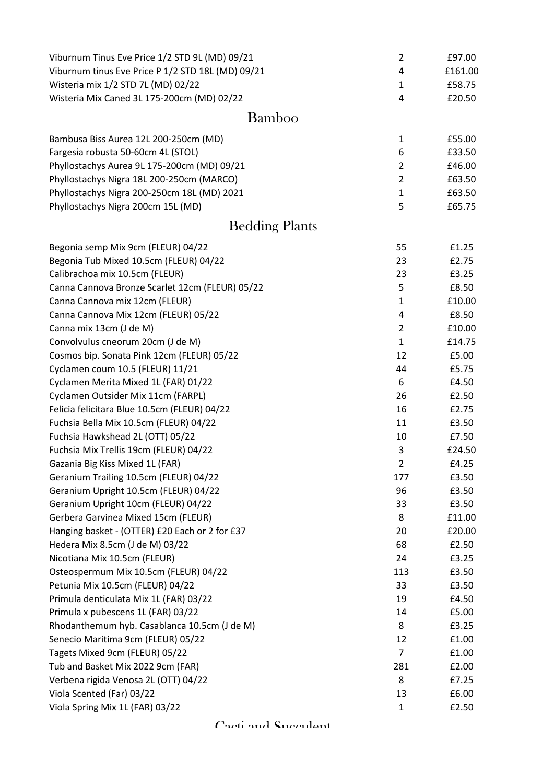| Viburnum Tinus Eve Price 1/2 STD 9L (MD) 09/21    | $\overline{2}$ | £97.00  |
|---------------------------------------------------|----------------|---------|
| Viburnum tinus Eve Price P 1/2 STD 18L (MD) 09/21 | 4              | £161.00 |
| Wisteria mix 1/2 STD 7L (MD) 02/22                | $\mathbf{1}$   | £58.75  |
| Wisteria Mix Caned 3L 175-200cm (MD) 02/22        | 4              | £20.50  |
| Bamboo                                            |                |         |
| Bambusa Biss Aurea 12L 200-250cm (MD)             | $\mathbf{1}$   | £55.00  |
| Fargesia robusta 50-60cm 4L (STOL)                | 6              | £33.50  |
| Phyllostachys Aurea 9L 175-200cm (MD) 09/21       | $\overline{2}$ | £46.00  |
| Phyllostachys Nigra 18L 200-250cm (MARCO)         | $\overline{2}$ | £63.50  |
| Phyllostachys Nigra 200-250cm 18L (MD) 2021       | $\mathbf{1}$   | £63.50  |
| Phyllostachys Nigra 200cm 15L (MD)                | 5              | £65.75  |
| <b>Bedding Plants</b>                             |                |         |
| Begonia semp Mix 9cm (FLEUR) 04/22                | 55             | £1.25   |
| Begonia Tub Mixed 10.5cm (FLEUR) 04/22            | 23             | £2.75   |
| Calibrachoa mix 10.5cm (FLEUR)                    | 23             | £3.25   |
| Canna Cannova Bronze Scarlet 12cm (FLEUR) 05/22   | 5              | £8.50   |
| Canna Cannova mix 12cm (FLEUR)                    | $\mathbf{1}$   | £10.00  |
| Canna Cannova Mix 12cm (FLEUR) 05/22              | 4              | £8.50   |
| Canna mix 13cm (J de M)                           | $\overline{2}$ | £10.00  |
| Convolvulus cneorum 20cm (J de M)                 | $\mathbf{1}$   | £14.75  |
| Cosmos bip. Sonata Pink 12cm (FLEUR) 05/22        | 12             | £5.00   |
| Cyclamen coum 10.5 (FLEUR) 11/21                  | 44             | £5.75   |
| Cyclamen Merita Mixed 1L (FAR) 01/22              | 6              | £4.50   |
| Cyclamen Outsider Mix 11cm (FARPL)                | 26             | £2.50   |
| Felicia felicitara Blue 10.5cm (FLEUR) 04/22      | 16             | £2.75   |
| Fuchsia Bella Mix 10.5cm (FLEUR) 04/22            | 11             | £3.50   |
| Fuchsia Hawkshead 2L (OTT) 05/22                  | 10             | £7.50   |
| Fuchsia Mix Trellis 19cm (FLEUR) 04/22            | 3              | £24.50  |
| Gazania Big Kiss Mixed 1L (FAR)                   | $\overline{2}$ | £4.25   |
| Geranium Trailing 10.5cm (FLEUR) 04/22            | 177            | £3.50   |
| Geranium Upright 10.5cm (FLEUR) 04/22             | 96             | £3.50   |
| Geranium Upright 10cm (FLEUR) 04/22               | 33             | £3.50   |
| Gerbera Garvinea Mixed 15cm (FLEUR)               | 8              | £11.00  |
| Hanging basket - (OTTER) £20 Each or 2 for £37    | 20             | £20.00  |
| Hedera Mix 8.5cm (J de M) 03/22                   | 68             | £2.50   |
| Nicotiana Mix 10.5cm (FLEUR)                      | 24             | £3.25   |
| Osteospermum Mix 10.5cm (FLEUR) 04/22             | 113            | £3.50   |
| Petunia Mix 10.5cm (FLEUR) 04/22                  | 33             | £3.50   |
| Primula denticulata Mix 1L (FAR) 03/22            | 19             | £4.50   |
| Primula x pubescens 1L (FAR) 03/22                | 14             | £5.00   |
| Rhodanthemum hyb. Casablanca 10.5cm (J de M)      | 8              | £3.25   |
| Senecio Maritima 9cm (FLEUR) 05/22                | 12             | £1.00   |
| Tagets Mixed 9cm (FLEUR) 05/22                    | $\overline{7}$ | £1.00   |
| Tub and Basket Mix 2022 9cm (FAR)                 | 281            | £2.00   |
| Verbena rigida Venosa 2L (OTT) 04/22              | 8              | £7.25   |
| Viola Scented (Far) 03/22                         | 13             | £6.00   |
| Viola Spring Mix 1L (FAR) 03/22                   | $\mathbf{1}$   | £2.50   |

Cacti and *Succulant*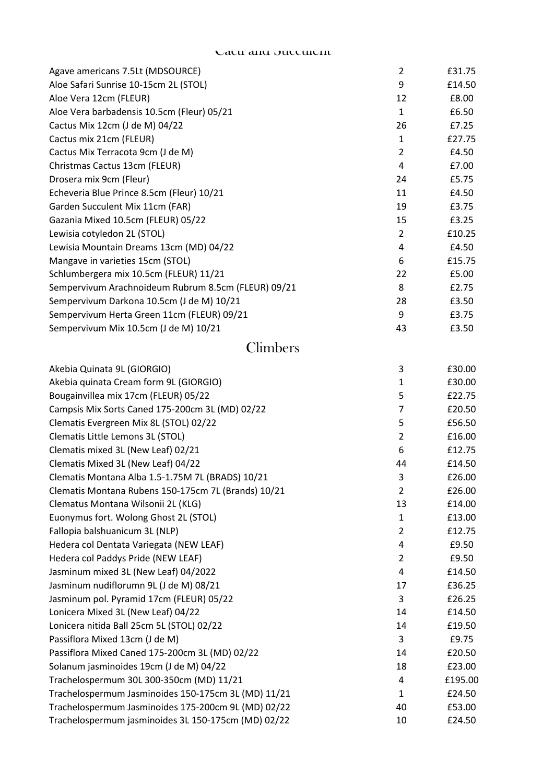## Cacti and Succulent

| Agave americans 7.5Lt (MDSOURCE)                    | 2              | £31.75  |
|-----------------------------------------------------|----------------|---------|
| Aloe Safari Sunrise 10-15cm 2L (STOL)               | 9              | £14.50  |
| Aloe Vera 12cm (FLEUR)                              | 12             | £8.00   |
| Aloe Vera barbadensis 10.5cm (Fleur) 05/21          | $\mathbf{1}$   | £6.50   |
| Cactus Mix 12cm (J de M) 04/22                      | 26             | £7.25   |
| Cactus mix 21cm (FLEUR)                             | $\mathbf{1}$   | £27.75  |
| Cactus Mix Terracota 9cm (J de M)                   | $\overline{2}$ | £4.50   |
| Christmas Cactus 13cm (FLEUR)                       | 4              | £7.00   |
| Drosera mix 9cm (Fleur)                             | 24             | £5.75   |
| Echeveria Blue Prince 8.5cm (Fleur) 10/21           | 11             | £4.50   |
| Garden Succulent Mix 11cm (FAR)                     | 19             | £3.75   |
| Gazania Mixed 10.5cm (FLEUR) 05/22                  | 15             | £3.25   |
| Lewisia cotyledon 2L (STOL)                         | $\overline{2}$ | £10.25  |
| Lewisia Mountain Dreams 13cm (MD) 04/22             | 4              | £4.50   |
| Mangave in varieties 15cm (STOL)                    | 6              | £15.75  |
| Schlumbergera mix 10.5cm (FLEUR) 11/21              | 22             | £5.00   |
| Sempervivum Arachnoideum Rubrum 8.5cm (FLEUR) 09/21 | 8              | £2.75   |
| Sempervivum Darkona 10.5cm (J de M) 10/21           | 28             | £3.50   |
| Sempervivum Herta Green 11cm (FLEUR) 09/21          | 9              | £3.75   |
| Sempervivum Mix 10.5cm (J de M) 10/21               | 43             | £3.50   |
| Climbers                                            |                |         |
| Akebia Quinata 9L (GIORGIO)                         | 3              | £30.00  |
| Akebia quinata Cream form 9L (GIORGIO)              | 1              | £30.00  |
| Bougainvillea mix 17cm (FLEUR) 05/22                | 5              | £22.75  |
| Campsis Mix Sorts Caned 175-200cm 3L (MD) 02/22     | $\overline{7}$ | £20.50  |
| Clematis Evergreen Mix 8L (STOL) 02/22              | 5              | £56.50  |
| Clematis Little Lemons 3L (STOL)                    | $\overline{2}$ | £16.00  |
| Clematis mixed 3L (New Leaf) 02/21                  | 6              | £12.75  |
| Clematis Mixed 3L (New Leaf) 04/22                  | 44             | £14.50  |
| Clematis Montana Alba 1.5-1.75M 7L (BRADS) 10/21    | 3              | £26.00  |
| Clematis Montana Rubens 150-175cm 7L (Brands) 10/21 | 2              | £26.00  |
| Clematus Montana Wilsonii 2L (KLG)                  | 13             | £14.00  |
| Euonymus fort. Wolong Ghost 2L (STOL)               | $\mathbf{1}$   | £13.00  |
| Fallopia balshuanicum 3L (NLP)                      | $\overline{2}$ | £12.75  |
| Hedera col Dentata Variegata (NEW LEAF)             | 4              | £9.50   |
| Hedera col Paddys Pride (NEW LEAF)                  | $\overline{2}$ | £9.50   |
| Jasminum mixed 3L (New Leaf) 04/2022                | 4              | £14.50  |
| Jasminum nudiflorumn 9L (J de M) 08/21              | 17             | £36.25  |
| Jasminum pol. Pyramid 17cm (FLEUR) 05/22            | 3              | £26.25  |
| Lonicera Mixed 3L (New Leaf) 04/22                  | 14             | £14.50  |
| Lonicera nitida Ball 25cm 5L (STOL) 02/22           | 14             | £19.50  |
| Passiflora Mixed 13cm (J de M)                      | 3              | £9.75   |
| Passiflora Mixed Caned 175-200cm 3L (MD) 02/22      | 14             | £20.50  |
| Solanum jasminoides 19cm (J de M) 04/22             | 18             | £23.00  |
| Trachelospermum 30L 300-350cm (MD) 11/21            | 4              | £195.00 |
| Trachelospermum Jasminoides 150-175cm 3L (MD) 11/21 | $\mathbf{1}$   | £24.50  |
| Trachelospermum Jasminoides 175-200cm 9L (MD) 02/22 | 40             | £53.00  |
| Trachelospermum jasminoides 3L 150-175cm (MD) 02/22 | 10             | £24.50  |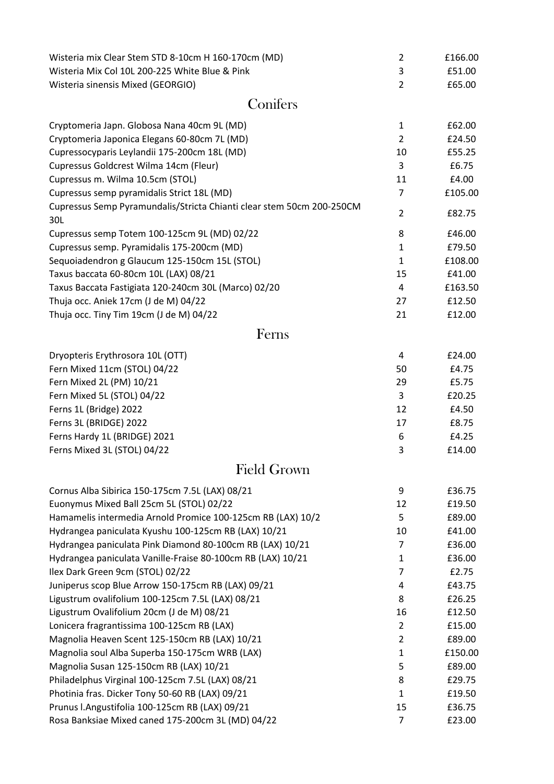| Wisteria mix Clear Stem STD 8-10cm H 160-170cm (MD)                          | $\overline{2}$ | £166.00 |
|------------------------------------------------------------------------------|----------------|---------|
| Wisteria Mix Col 10L 200-225 White Blue & Pink                               | 3              | £51.00  |
| Wisteria sinensis Mixed (GEORGIO)                                            | $\overline{2}$ | £65.00  |
| Conifers                                                                     |                |         |
| Cryptomeria Japn. Globosa Nana 40cm 9L (MD)                                  | $\mathbf{1}$   | £62.00  |
| Cryptomeria Japonica Elegans 60-80cm 7L (MD)                                 | $\overline{2}$ | £24.50  |
| Cupressocyparis Leylandii 175-200cm 18L (MD)                                 | 10             | £55.25  |
| Cupressus Goldcrest Wilma 14cm (Fleur)                                       | 3              | £6.75   |
| Cupressus m. Wilma 10.5cm (STOL)                                             | 11             | £4.00   |
| Cupressus semp pyramidalis Strict 18L (MD)                                   | $\overline{7}$ | £105.00 |
| Cupressus Semp Pyramundalis/Stricta Chianti clear stem 50cm 200-250CM<br>30L | $\overline{2}$ | £82.75  |
| Cupressus semp Totem 100-125cm 9L (MD) 02/22                                 | 8              | £46.00  |
| Cupressus semp. Pyramidalis 175-200cm (MD)                                   | $\mathbf{1}$   | £79.50  |
| Sequoiadendron g Glaucum 125-150cm 15L (STOL)                                | $\mathbf{1}$   | £108.00 |
| Taxus baccata 60-80cm 10L (LAX) 08/21                                        | 15             | £41.00  |
| Taxus Baccata Fastigiata 120-240cm 30L (Marco) 02/20                         | 4              | £163.50 |
| Thuja occ. Aniek 17cm (J de M) 04/22                                         | 27             | £12.50  |
| Thuja occ. Tiny Tim 19cm (J de M) 04/22                                      | 21             | £12.00  |
| Ferns                                                                        |                |         |
| Dryopteris Erythrosora 10L (OTT)                                             | 4              | £24.00  |
| Fern Mixed 11cm (STOL) 04/22                                                 | 50             | £4.75   |
| Fern Mixed 2L (PM) 10/21                                                     | 29             | £5.75   |
| Fern Mixed 5L (STOL) 04/22                                                   | 3              | £20.25  |
| Ferns 1L (Bridge) 2022                                                       | 12             | £4.50   |
| Ferns 3L (BRIDGE) 2022                                                       | 17             | £8.75   |
| Ferns Hardy 1L (BRIDGE) 2021                                                 | 6              | £4.25   |
| Ferns Mixed 3L (STOL) 04/22                                                  | 3              | £14.00  |
| <b>Field Grown</b>                                                           |                |         |
| Cornus Alba Sibirica 150-175cm 7.5L (LAX) 08/21                              | 9              | £36.75  |
| Euonymus Mixed Ball 25cm 5L (STOL) 02/22                                     | 12             | £19.50  |
| Hamamelis intermedia Arnold Promice 100-125cm RB (LAX) 10/2                  | 5              | £89.00  |
| Hydrangea paniculata Kyushu 100-125cm RB (LAX) 10/21                         | 10             | £41.00  |
| Hydrangea paniculata Pink Diamond 80-100cm RB (LAX) 10/21                    | 7              | £36.00  |
| Hydrangea paniculata Vanille-Fraise 80-100cm RB (LAX) 10/21                  | 1              | £36.00  |
| Ilex Dark Green 9cm (STOL) 02/22                                             | $\overline{7}$ | £2.75   |
| Juniperus scop Blue Arrow 150-175cm RB (LAX) 09/21                           | 4              | £43.75  |
| Ligustrum ovalifolium 100-125cm 7.5L (LAX) 08/21                             | 8              | £26.25  |
| Ligustrum Ovalifolium 20cm (J de M) 08/21                                    | 16             | £12.50  |
| Lonicera fragrantissima 100-125cm RB (LAX)                                   | $\overline{2}$ | £15.00  |
| Magnolia Heaven Scent 125-150cm RB (LAX) 10/21                               | $\overline{2}$ | £89.00  |
| Magnolia soul Alba Superba 150-175cm WRB (LAX)                               | $\mathbf{1}$   | £150.00 |
| Magnolia Susan 125-150cm RB (LAX) 10/21                                      | 5              | £89.00  |
| Philadelphus Virginal 100-125cm 7.5L (LAX) 08/21                             | 8              | £29.75  |
| Photinia fras. Dicker Tony 50-60 RB (LAX) 09/21                              | 1              | £19.50  |
| Prunus I. Angustifolia 100-125cm RB (LAX) 09/21                              | 15             | £36.75  |
| Rosa Banksiae Mixed caned 175-200cm 3L (MD) 04/22                            | 7              | £23.00  |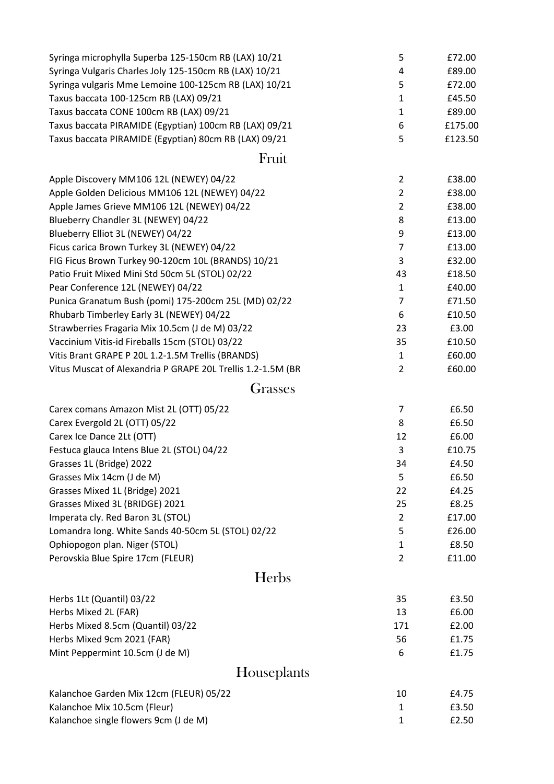| Syringa microphylla Superba 125-150cm RB (LAX) 10/21        | 5              | £72.00  |
|-------------------------------------------------------------|----------------|---------|
| Syringa Vulgaris Charles Joly 125-150cm RB (LAX) 10/21      | 4              | £89.00  |
| Syringa vulgaris Mme Lemoine 100-125cm RB (LAX) 10/21       | 5              | £72.00  |
| Taxus baccata 100-125cm RB (LAX) 09/21                      | $\mathbf{1}$   | £45.50  |
| Taxus baccata CONE 100cm RB (LAX) 09/21                     | $\mathbf{1}$   | £89.00  |
| Taxus baccata PIRAMIDE (Egyptian) 100cm RB (LAX) 09/21      | 6              | £175.00 |
| Taxus baccata PIRAMIDE (Egyptian) 80cm RB (LAX) 09/21       | 5              | £123.50 |
| Fruit                                                       |                |         |
| Apple Discovery MM106 12L (NEWEY) 04/22                     | $\overline{2}$ | £38.00  |
| Apple Golden Delicious MM106 12L (NEWEY) 04/22              | $\overline{2}$ | £38.00  |
| Apple James Grieve MM106 12L (NEWEY) 04/22                  | $\overline{2}$ | £38.00  |
| Blueberry Chandler 3L (NEWEY) 04/22                         | 8              | £13.00  |
| Blueberry Elliot 3L (NEWEY) 04/22                           | 9              | £13.00  |
| Ficus carica Brown Turkey 3L (NEWEY) 04/22                  | $\overline{7}$ | £13.00  |
| FIG Ficus Brown Turkey 90-120cm 10L (BRANDS) 10/21          | 3              | £32.00  |
| Patio Fruit Mixed Mini Std 50cm 5L (STOL) 02/22             | 43             | £18.50  |
| Pear Conference 12L (NEWEY) 04/22                           | $\mathbf{1}$   | £40.00  |
| Punica Granatum Bush (pomi) 175-200cm 25L (MD) 02/22        | $\overline{7}$ | £71.50  |
| Rhubarb Timberley Early 3L (NEWEY) 04/22                    | 6              | £10.50  |
| Strawberries Fragaria Mix 10.5cm (J de M) 03/22             | 23             | £3.00   |
| Vaccinium Vitis-id Fireballs 15cm (STOL) 03/22              | 35             | £10.50  |
| Vitis Brant GRAPE P 20L 1.2-1.5M Trellis (BRANDS)           | $\mathbf{1}$   | £60.00  |
| Vitus Muscat of Alexandria P GRAPE 20L Trellis 1.2-1.5M (BR | $\overline{2}$ | £60.00  |
| Grasses                                                     |                |         |
| Carex comans Amazon Mist 2L (OTT) 05/22                     | 7              | £6.50   |
| Carex Evergold 2L (OTT) 05/22                               | 8              | £6.50   |
| Carex Ice Dance 2Lt (OTT)                                   | 12             | £6.00   |
| Festuca glauca Intens Blue 2L (STOL) 04/22                  | 3              | £10.75  |
| Grasses 1L (Bridge) 2022                                    | 34             | £4.50   |
| Grasses Mix 14cm (J de M)                                   | 5              | £6.50   |
| Grasses Mixed 1L (Bridge) 2021                              | 22             | £4.25   |
| Grasses Mixed 3L (BRIDGE) 2021                              | 25             | £8.25   |
| Imperata cly. Red Baron 3L (STOL)                           | $\overline{2}$ | £17.00  |
| Lomandra long. White Sands 40-50cm 5L (STOL) 02/22          | 5              | £26.00  |
| Ophiopogon plan. Niger (STOL)                               | $\mathbf{1}$   | £8.50   |
| Perovskia Blue Spire 17cm (FLEUR)                           | $\overline{2}$ | £11.00  |
| Herbs                                                       |                |         |
| Herbs 1Lt (Quantil) 03/22                                   | 35             | £3.50   |
| Herbs Mixed 2L (FAR)                                        | 13             | £6.00   |
| Herbs Mixed 8.5cm (Quantil) 03/22                           | 171            | £2.00   |
| Herbs Mixed 9cm 2021 (FAR)                                  | 56             | £1.75   |
| Mint Peppermint 10.5cm (J de M)                             | 6              | £1.75   |
| Houseplants                                                 |                |         |
| Kalanchoe Garden Mix 12cm (FLEUR) 05/22                     | 10             | £4.75   |
| Kalanchoe Mix 10.5cm (Fleur)                                | $\mathbf{1}$   | £3.50   |
| Kalanchoe single flowers 9cm (J de M)                       | $\mathbf{1}$   | £2.50   |
|                                                             |                |         |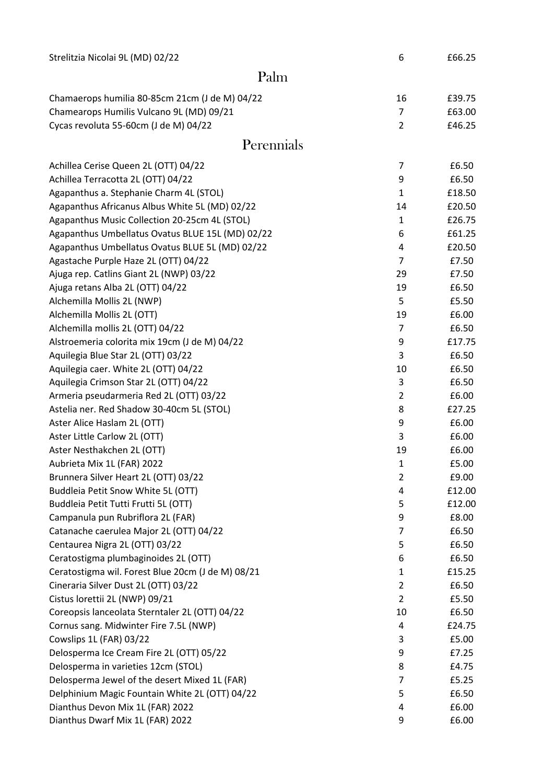| Strelitzia Nicolai 9L (MD) 02/22                  | 6              | £66.25 |
|---------------------------------------------------|----------------|--------|
| Palm                                              |                |        |
| Chamaerops humilia 80-85cm 21cm (J de M) 04/22    | 16             | £39.75 |
| Chamearops Humilis Vulcano 9L (MD) 09/21          | 7              | £63.00 |
| Cycas revoluta 55-60cm (J de M) 04/22             | $\overline{2}$ | £46.25 |
| Perennials                                        |                |        |
| Achillea Cerise Queen 2L (OTT) 04/22              | 7              | £6.50  |
| Achillea Terracotta 2L (OTT) 04/22                | 9              | £6.50  |
| Agapanthus a. Stephanie Charm 4L (STOL)           | 1              | £18.50 |
| Agapanthus Africanus Albus White 5L (MD) 02/22    | 14             | £20.50 |
| Agapanthus Music Collection 20-25cm 4L (STOL)     | 1              | £26.75 |
| Agapanthus Umbellatus Ovatus BLUE 15L (MD) 02/22  | 6              | £61.25 |
| Agapanthus Umbellatus Ovatus BLUE 5L (MD) 02/22   | 4              | £20.50 |
| Agastache Purple Haze 2L (OTT) 04/22              | $\overline{7}$ | £7.50  |
| Ajuga rep. Catlins Giant 2L (NWP) 03/22           | 29             | £7.50  |
| Ajuga retans Alba 2L (OTT) 04/22                  | 19             | £6.50  |
| Alchemilla Mollis 2L (NWP)                        | 5              | £5.50  |
| Alchemilla Mollis 2L (OTT)                        | 19             | £6.00  |
| Alchemilla mollis 2L (OTT) 04/22                  | 7              | £6.50  |
| Alstroemeria colorita mix 19cm (J de M) 04/22     | 9              | £17.75 |
| Aquilegia Blue Star 2L (OTT) 03/22                | 3              | £6.50  |
| Aquilegia caer. White 2L (OTT) 04/22              | 10             | £6.50  |
| Aquilegia Crimson Star 2L (OTT) 04/22             | 3              | £6.50  |
| Armeria pseudarmeria Red 2L (OTT) 03/22           | 2              | £6.00  |
| Astelia ner. Red Shadow 30-40cm 5L (STOL)         | 8              | £27.25 |
| Aster Alice Haslam 2L (OTT)                       | 9              | £6.00  |
| Aster Little Carlow 2L (OTT)                      | 3              | £6.00  |
| Aster Nesthakchen 2L (OTT)                        | 19             | £6.00  |
| Aubrieta Mix 1L (FAR) 2022                        | $\mathbf{1}$   | £5.00  |
| Brunnera Silver Heart 2L (OTT) 03/22              | 2              | £9.00  |
| Buddleia Petit Snow White 5L (OTT)                | 4              | £12.00 |
| Buddleia Petit Tutti Frutti 5L (OTT)              | 5              | £12.00 |
| Campanula pun Rubriflora 2L (FAR)                 | 9              | £8.00  |
| Catanache caerulea Major 2L (OTT) 04/22           | 7              | £6.50  |
| Centaurea Nigra 2L (OTT) 03/22                    | 5              | £6.50  |
| Ceratostigma plumbaginoides 2L (OTT)              | 6              | £6.50  |
| Ceratostigma wil. Forest Blue 20cm (J de M) 08/21 | 1              | £15.25 |
| Cineraria Silver Dust 2L (OTT) 03/22              | 2              | £6.50  |
| Cistus lorettii 2L (NWP) 09/21                    | $\overline{2}$ | £5.50  |
| Coreopsis lanceolata Sterntaler 2L (OTT) 04/22    | 10             | £6.50  |
| Cornus sang. Midwinter Fire 7.5L (NWP)            | 4              | £24.75 |
| Cowslips 1L (FAR) 03/22                           | 3              | £5.00  |
| Delosperma Ice Cream Fire 2L (OTT) 05/22          | 9              | £7.25  |
| Delosperma in varieties 12cm (STOL)               | 8              | £4.75  |
| Delosperma Jewel of the desert Mixed 1L (FAR)     | 7              | £5.25  |
| Delphinium Magic Fountain White 2L (OTT) 04/22    | 5              | £6.50  |
| Dianthus Devon Mix 1L (FAR) 2022                  | 4              | £6.00  |
| Dianthus Dwarf Mix 1L (FAR) 2022                  | 9              | £6.00  |
|                                                   |                |        |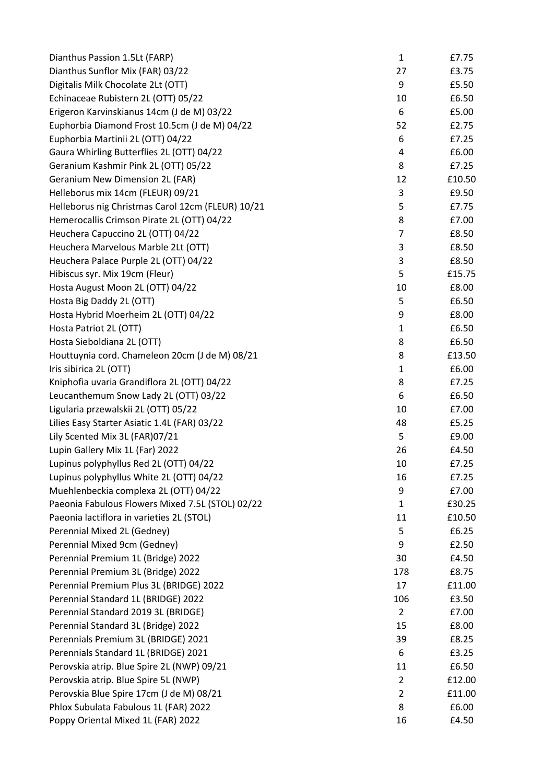| Dianthus Passion 1.5Lt (FARP)                     | $\mathbf{1}$   | £7.75  |
|---------------------------------------------------|----------------|--------|
| Dianthus Sunflor Mix (FAR) 03/22                  | 27             | £3.75  |
| Digitalis Milk Chocolate 2Lt (OTT)                | 9              | £5.50  |
| Echinaceae Rubistern 2L (OTT) 05/22               | 10             | £6.50  |
| Erigeron Karvinskianus 14cm (J de M) 03/22        | 6              | £5.00  |
| Euphorbia Diamond Frost 10.5cm (J de M) 04/22     | 52             | £2.75  |
| Euphorbia Martinii 2L (OTT) 04/22                 | 6              | £7.25  |
| Gaura Whirling Butterflies 2L (OTT) 04/22         | 4              | £6.00  |
| Geranium Kashmir Pink 2L (OTT) 05/22              | 8              | £7.25  |
| <b>Geranium New Dimension 2L (FAR)</b>            | 12             | £10.50 |
| Helleborus mix 14cm (FLEUR) 09/21                 | 3              | £9.50  |
| Helleborus nig Christmas Carol 12cm (FLEUR) 10/21 | 5              | £7.75  |
| Hemerocallis Crimson Pirate 2L (OTT) 04/22        | 8              | £7.00  |
| Heuchera Capuccino 2L (OTT) 04/22                 | $\overline{7}$ | £8.50  |
| Heuchera Marvelous Marble 2Lt (OTT)               | 3              | £8.50  |
| Heuchera Palace Purple 2L (OTT) 04/22             | 3              | £8.50  |
| Hibiscus syr. Mix 19cm (Fleur)                    | 5              | £15.75 |
| Hosta August Moon 2L (OTT) 04/22                  | 10             | £8.00  |
| Hosta Big Daddy 2L (OTT)                          | 5              | £6.50  |
| Hosta Hybrid Moerheim 2L (OTT) 04/22              | 9              | £8.00  |
| Hosta Patriot 2L (OTT)                            | $\mathbf{1}$   | £6.50  |
| Hosta Sieboldiana 2L (OTT)                        | 8              | £6.50  |
| Houttuynia cord. Chameleon 20cm (J de M) 08/21    | 8              | £13.50 |
| Iris sibirica 2L (OTT)                            | $\mathbf{1}$   | £6.00  |
| Kniphofia uvaria Grandiflora 2L (OTT) 04/22       | 8              | £7.25  |
| Leucanthemum Snow Lady 2L (OTT) 03/22             | 6              | £6.50  |
| Ligularia przewalskii 2L (OTT) 05/22              | 10             | £7.00  |
| Lilies Easy Starter Asiatic 1.4L (FAR) 03/22      | 48             | £5.25  |
| Lily Scented Mix 3L (FAR)07/21                    | 5              | £9.00  |
| Lupin Gallery Mix 1L (Far) 2022                   | 26             | £4.50  |
| Lupinus polyphyllus Red 2L (OTT) 04/22            | 10             | £7.25  |
| Lupinus polyphyllus White 2L (OTT) 04/22          | 16             | £7.25  |
| Muehlenbeckia complexa 2L (OTT) 04/22             | 9              | £7.00  |
| Paeonia Fabulous Flowers Mixed 7.5L (STOL) 02/22  | $\mathbf{1}$   | £30.25 |
| Paeonia lactiflora in varieties 2L (STOL)         | 11             | £10.50 |
| Perennial Mixed 2L (Gedney)                       | 5              | £6.25  |
| Perennial Mixed 9cm (Gedney)                      | 9              | £2.50  |
| Perennial Premium 1L (Bridge) 2022                | 30             | £4.50  |
| Perennial Premium 3L (Bridge) 2022                | 178            | £8.75  |
| Perennial Premium Plus 3L (BRIDGE) 2022           | 17             | £11.00 |
| Perennial Standard 1L (BRIDGE) 2022               | 106            | £3.50  |
| Perennial Standard 2019 3L (BRIDGE)               | $\overline{2}$ | £7.00  |
| Perennial Standard 3L (Bridge) 2022               | 15             | £8.00  |
| Perennials Premium 3L (BRIDGE) 2021               | 39             | £8.25  |
| Perennials Standard 1L (BRIDGE) 2021              | 6              | £3.25  |
| Perovskia atrip. Blue Spire 2L (NWP) 09/21        | 11             | £6.50  |
| Perovskia atrip. Blue Spire 5L (NWP)              | $\overline{2}$ | £12.00 |
| Perovskia Blue Spire 17cm (J de M) 08/21          | $\overline{2}$ | £11.00 |
| Phlox Subulata Fabulous 1L (FAR) 2022             | 8              | £6.00  |
| Poppy Oriental Mixed 1L (FAR) 2022                | 16             | £4.50  |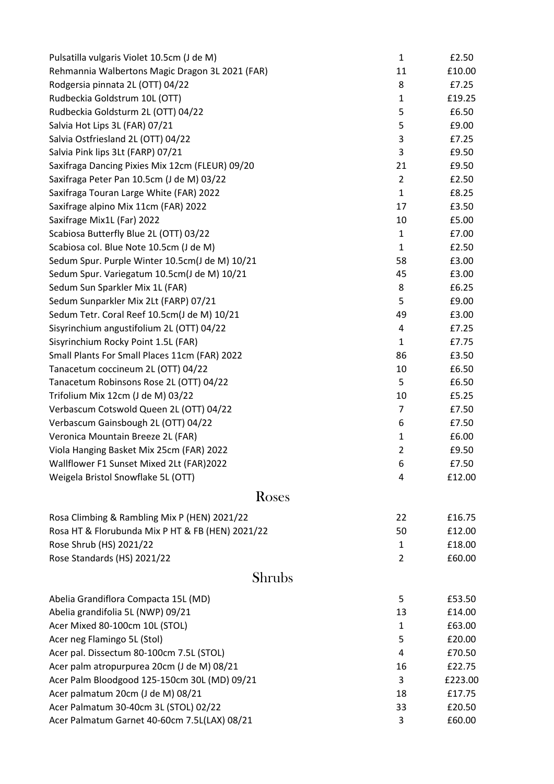| Pulsatilla vulgaris Violet 10.5cm (J de M)       | $\mathbf{1}$   | £2.50   |
|--------------------------------------------------|----------------|---------|
| Rehmannia Walbertons Magic Dragon 3L 2021 (FAR)  | 11             | £10.00  |
| Rodgersia pinnata 2L (OTT) 04/22                 | 8              | £7.25   |
| Rudbeckia Goldstrum 10L (OTT)                    | $\mathbf{1}$   | £19.25  |
| Rudbeckia Goldsturm 2L (OTT) 04/22               | 5              | £6.50   |
| Salvia Hot Lips 3L (FAR) 07/21                   | 5              | £9.00   |
| Salvia Ostfriesland 2L (OTT) 04/22               | 3              | £7.25   |
| Salvia Pink lips 3Lt (FARP) 07/21                | 3              | £9.50   |
| Saxifraga Dancing Pixies Mix 12cm (FLEUR) 09/20  | 21             | £9.50   |
| Saxifraga Peter Pan 10.5cm (J de M) 03/22        | $\overline{2}$ | £2.50   |
| Saxifraga Touran Large White (FAR) 2022          | $\mathbf{1}$   | £8.25   |
| Saxifrage alpino Mix 11cm (FAR) 2022             | 17             | £3.50   |
| Saxifrage Mix1L (Far) 2022                       | 10             | £5.00   |
| Scabiosa Butterfly Blue 2L (OTT) 03/22           | $\mathbf{1}$   | £7.00   |
| Scabiosa col. Blue Note 10.5cm (J de M)          | $\mathbf{1}$   | £2.50   |
| Sedum Spur. Purple Winter 10.5cm(J de M) 10/21   | 58             | £3.00   |
| Sedum Spur. Variegatum 10.5cm(J de M) 10/21      | 45             | £3.00   |
| Sedum Sun Sparkler Mix 1L (FAR)                  | 8              | £6.25   |
| Sedum Sunparkler Mix 2Lt (FARP) 07/21            | 5              | £9.00   |
| Sedum Tetr. Coral Reef 10.5cm(J de M) 10/21      | 49             | £3.00   |
| Sisyrinchium angustifolium 2L (OTT) 04/22        | 4              | £7.25   |
| Sisyrinchium Rocky Point 1.5L (FAR)              | $\mathbf{1}$   | £7.75   |
| Small Plants For Small Places 11cm (FAR) 2022    | 86             | £3.50   |
| Tanacetum coccineum 2L (OTT) 04/22               | 10             | £6.50   |
| Tanacetum Robinsons Rose 2L (OTT) 04/22          | 5              | £6.50   |
| Trifolium Mix 12cm (J de M) 03/22                | 10             | £5.25   |
| Verbascum Cotswold Queen 2L (OTT) 04/22          | $\overline{7}$ | £7.50   |
| Verbascum Gainsbough 2L (OTT) 04/22              | 6              | £7.50   |
| Veronica Mountain Breeze 2L (FAR)                | $\mathbf{1}$   | £6.00   |
| Viola Hanging Basket Mix 25cm (FAR) 2022         | $\overline{2}$ | £9.50   |
| Wallflower F1 Sunset Mixed 2Lt (FAR)2022         | 6              | £7.50   |
| Weigela Bristol Snowflake 5L (OTT)               | 4              | £12.00  |
| Roses                                            |                |         |
| Rosa Climbing & Rambling Mix P (HEN) 2021/22     | 22             | £16.75  |
| Rosa HT & Florubunda Mix P HT & FB (HEN) 2021/22 | 50             | £12.00  |
| Rose Shrub (HS) 2021/22                          | $\mathbf{1}$   | £18.00  |
| Rose Standards (HS) 2021/22                      | $\overline{2}$ | £60.00  |
|                                                  |                |         |
| <b>Shrubs</b>                                    |                |         |
| Abelia Grandiflora Compacta 15L (MD)             | 5              | £53.50  |
| Abelia grandifolia 5L (NWP) 09/21                | 13             | £14.00  |
| Acer Mixed 80-100cm 10L (STOL)                   | $\mathbf{1}$   | £63.00  |
| Acer neg Flamingo 5L (Stol)                      | 5              | £20.00  |
| Acer pal. Dissectum 80-100cm 7.5L (STOL)         | 4              | £70.50  |
| Acer palm atropurpurea 20cm (J de M) 08/21       | 16             | £22.75  |
| Acer Palm Bloodgood 125-150cm 30L (MD) 09/21     | 3              | £223.00 |
| Acer palmatum 20cm (J de M) 08/21                | 18             | £17.75  |
| Acer Palmatum 30-40cm 3L (STOL) 02/22            | 33             | £20.50  |
| Acer Palmatum Garnet 40-60cm 7.5L(LAX) 08/21     | 3              | £60.00  |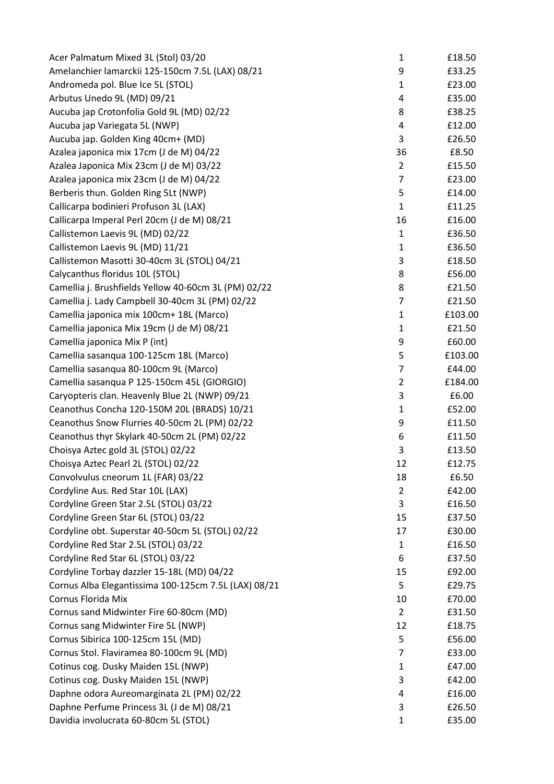| Acer Palmatum Mixed 3L (Stol) 03/20                  | $\mathbf{1}$   | £18.50  |
|------------------------------------------------------|----------------|---------|
| Amelanchier lamarckii 125-150cm 7.5L (LAX) 08/21     | 9              | £33.25  |
| Andromeda pol. Blue Ice 5L (STOL)                    | $\mathbf{1}$   | £23.00  |
| Arbutus Unedo 9L (MD) 09/21                          | 4              | £35.00  |
| Aucuba jap Crotonfolia Gold 9L (MD) 02/22            | 8              | £38.25  |
| Aucuba jap Variegata 5L (NWP)                        | 4              | £12.00  |
| Aucuba jap. Golden King 40cm+ (MD)                   | 3              | £26.50  |
| Azalea japonica mix 17cm (J de M) 04/22              | 36             | £8.50   |
| Azalea Japonica Mix 23cm (J de M) 03/22              | $\overline{2}$ | £15.50  |
| Azalea japonica mix 23cm (J de M) 04/22              | $\overline{7}$ | £23.00  |
| Berberis thun. Golden Ring 5Lt (NWP)                 | 5              | £14.00  |
| Callicarpa bodinieri Profuson 3L (LAX)               | $\mathbf{1}$   | £11.25  |
| Callicarpa Imperal Perl 20cm (J de M) 08/21          | 16             | £16.00  |
| Callistemon Laevis 9L (MD) 02/22                     | $\mathbf{1}$   | £36.50  |
| Callistemon Laevis 9L (MD) 11/21                     | $\mathbf{1}$   | £36.50  |
| Callistemon Masotti 30-40cm 3L (STOL) 04/21          | 3              | £18.50  |
| Calycanthus floridus 10L (STOL)                      | 8              | £56.00  |
| Camellia j. Brushfields Yellow 40-60cm 3L (PM) 02/22 | 8              | £21.50  |
| Camellia j. Lady Campbell 30-40cm 3L (PM) 02/22      | 7              | £21.50  |
| Camellia japonica mix 100cm+ 18L (Marco)             | $\mathbf{1}$   | £103.00 |
| Camellia japonica Mix 19cm (J de M) 08/21            | $\mathbf{1}$   | £21.50  |
| Camellia japonica Mix P (int)                        | 9              | £60.00  |
| Camellia sasanqua 100-125cm 18L (Marco)              | 5              | £103.00 |
| Camellia sasanqua 80-100cm 9L (Marco)                | $\overline{7}$ | £44.00  |
| Camellia sasanqua P 125-150cm 45L (GIORGIO)          | $\overline{2}$ | £184.00 |
| Caryopteris clan. Heavenly Blue 2L (NWP) 09/21       | 3              | £6.00   |
| Ceanothus Concha 120-150M 20L (BRADS) 10/21          | $\mathbf{1}$   | £52.00  |
| Ceanothus Snow Flurries 40-50cm 2L (PM) 02/22        | 9              | £11.50  |
| Ceanothus thyr Skylark 40-50cm 2L (PM) 02/22         | 6              | £11.50  |
| Choisya Aztec gold 3L (STOL) 02/22                   | 3              | £13.50  |
| Choisya Aztec Pearl 2L (STOL) 02/22                  | 12             | £12.75  |
| Convolvulus cneorum 1L (FAR) 03/22                   | 18             | £6.50   |
| Cordyline Aus. Red Star 10L (LAX)                    | $\overline{2}$ | £42.00  |
| Cordyline Green Star 2.5L (STOL) 03/22               | 3              | £16.50  |
| Cordyline Green Star 6L (STOL) 03/22                 | 15             | £37.50  |
| Cordyline obt. Superstar 40-50cm 5L (STOL) 02/22     | 17             | £30.00  |
| Cordyline Red Star 2.5L (STOL) 03/22                 | 1              | £16.50  |
| Cordyline Red Star 6L (STOL) 03/22                   | 6              | £37.50  |
| Cordyline Torbay dazzler 15-18L (MD) 04/22           | 15             | £92.00  |
| Cornus Alba Elegantissima 100-125cm 7.5L (LAX) 08/21 | 5              | £29.75  |
| Cornus Florida Mix                                   | 10             | £70.00  |
| Cornus sand Midwinter Fire 60-80cm (MD)              | $\overline{2}$ | £31.50  |
| Cornus sang Midwinter Fire 5L (NWP)                  | 12             | £18.75  |
| Cornus Sibirica 100-125cm 15L (MD)                   | 5              | £56.00  |
| Cornus Stol. Flaviramea 80-100cm 9L (MD)             | 7              | £33.00  |
| Cotinus cog. Dusky Maiden 15L (NWP)                  | $\mathbf{1}$   | £47.00  |
| Cotinus cog. Dusky Maiden 15L (NWP)                  | 3              | £42.00  |
| Daphne odora Aureomarginata 2L (PM) 02/22            | 4              | £16.00  |
| Daphne Perfume Princess 3L (J de M) 08/21            | 3              | £26.50  |
| Davidia involucrata 60-80cm 5L (STOL)                | $\mathbf{1}$   | £35.00  |
|                                                      |                |         |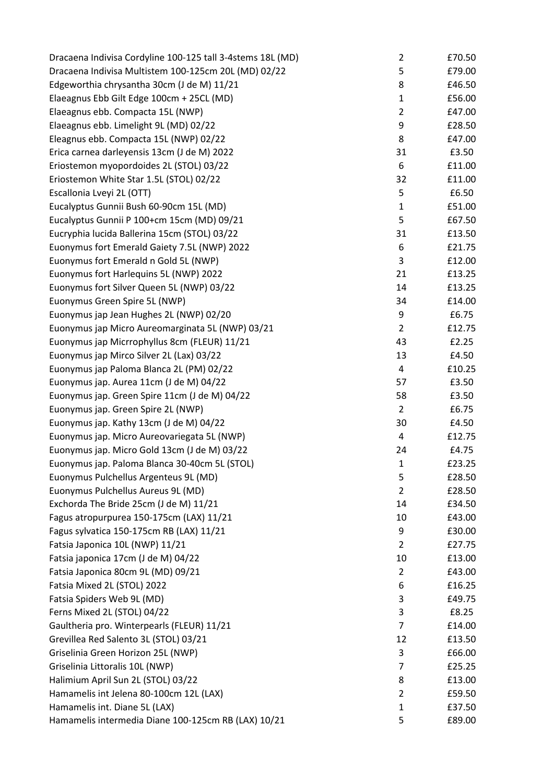| Dracaena Indivisa Multistem 100-125cm 20L (MD) 02/22<br>5     | £79.00 |
|---------------------------------------------------------------|--------|
| Edgeworthia chrysantha 30cm (J de M) 11/21<br>8               | £46.50 |
| Elaeagnus Ebb Gilt Edge 100cm + 25CL (MD)<br>$\mathbf{1}$     | £56.00 |
| Elaeagnus ebb. Compacta 15L (NWP)<br>$\overline{2}$           | £47.00 |
| Elaeagnus ebb. Limelight 9L (MD) 02/22<br>9                   | £28.50 |
| 8<br>Eleagnus ebb. Compacta 15L (NWP) 02/22                   | £47.00 |
| Erica carnea darleyensis 13cm (J de M) 2022<br>31             | £3.50  |
| Eriostemon myopordoides 2L (STOL) 03/22<br>6                  | £11.00 |
| Eriostemon White Star 1.5L (STOL) 02/22<br>32                 | £11.00 |
| 5<br>Escallonia Lveyi 2L (OTT)                                | £6.50  |
| Eucalyptus Gunnii Bush 60-90cm 15L (MD)<br>$\mathbf{1}$       | £51.00 |
| 5<br>Eucalyptus Gunnii P 100+cm 15cm (MD) 09/21               | £67.50 |
| Eucryphia lucida Ballerina 15cm (STOL) 03/22<br>31            | £13.50 |
| Euonymus fort Emerald Gaiety 7.5L (NWP) 2022<br>6             | £21.75 |
| Euonymus fort Emerald n Gold 5L (NWP)<br>3                    | £12.00 |
| Euonymus fort Harlequins 5L (NWP) 2022<br>21                  | £13.25 |
| Euonymus fort Silver Queen 5L (NWP) 03/22<br>14               | £13.25 |
| Euonymus Green Spire 5L (NWP)<br>34                           | £14.00 |
| Euonymus jap Jean Hughes 2L (NWP) 02/20<br>9                  | £6.75  |
| Euonymus jap Micro Aureomarginata 5L (NWP) 03/21<br>2         | £12.75 |
| Euonymus jap Micrrophyllus 8cm (FLEUR) 11/21<br>43            | £2.25  |
| Euonymus jap Mirco Silver 2L (Lax) 03/22<br>13                | £4.50  |
| Euonymus jap Paloma Blanca 2L (PM) 02/22<br>4                 | £10.25 |
| Euonymus jap. Aurea 11cm (J de M) 04/22<br>57                 | £3.50  |
| Euonymus jap. Green Spire 11cm (J de M) 04/22<br>58           | £3.50  |
| $\overline{2}$<br>Euonymus jap. Green Spire 2L (NWP)          | £6.75  |
| Euonymus jap. Kathy 13cm (J de M) 04/22<br>30                 | £4.50  |
| Euonymus jap. Micro Aureovariegata 5L (NWP)<br>4              | £12.75 |
| Euonymus jap. Micro Gold 13cm (J de M) 03/22<br>24            | £4.75  |
| Euonymus jap. Paloma Blanca 30-40cm 5L (STOL)<br>$\mathbf{1}$ | £23.25 |
| Euonymus Pulchellus Argenteus 9L (MD)<br>5                    | £28.50 |
| Euonymus Pulchellus Aureus 9L (MD)<br>2                       | £28.50 |
| Exchorda The Bride 25cm (J de M) 11/21<br>14                  | £34.50 |
| Fagus atropurpurea 150-175cm (LAX) 11/21<br>10                | £43.00 |
| Fagus sylvatica 150-175cm RB (LAX) 11/21<br>9                 | £30.00 |
| Fatsia Japonica 10L (NWP) 11/21<br>2                          | £27.75 |
| Fatsia japonica 17cm (J de M) 04/22<br>10                     | £13.00 |
| Fatsia Japonica 80cm 9L (MD) 09/21<br>2                       | £43.00 |
| Fatsia Mixed 2L (STOL) 2022<br>6                              | £16.25 |
| Fatsia Spiders Web 9L (MD)<br>3                               | £49.75 |
| Ferns Mixed 2L (STOL) 04/22<br>3                              | £8.25  |
| Gaultheria pro. Winterpearls (FLEUR) 11/21<br>7               | £14.00 |
| Grevillea Red Salento 3L (STOL) 03/21<br>12                   | £13.50 |
| 3<br>Griselinia Green Horizon 25L (NWP)                       | £66.00 |
| Griselinia Littoralis 10L (NWP)<br>7                          | £25.25 |
| Halimium April Sun 2L (STOL) 03/22<br>8                       | £13.00 |
| Hamamelis int Jelena 80-100cm 12L (LAX)<br>$\overline{2}$     | £59.50 |
| Hamamelis int. Diane 5L (LAX)<br>1                            | £37.50 |
| 5<br>Hamamelis intermedia Diane 100-125cm RB (LAX) 10/21      | £89.00 |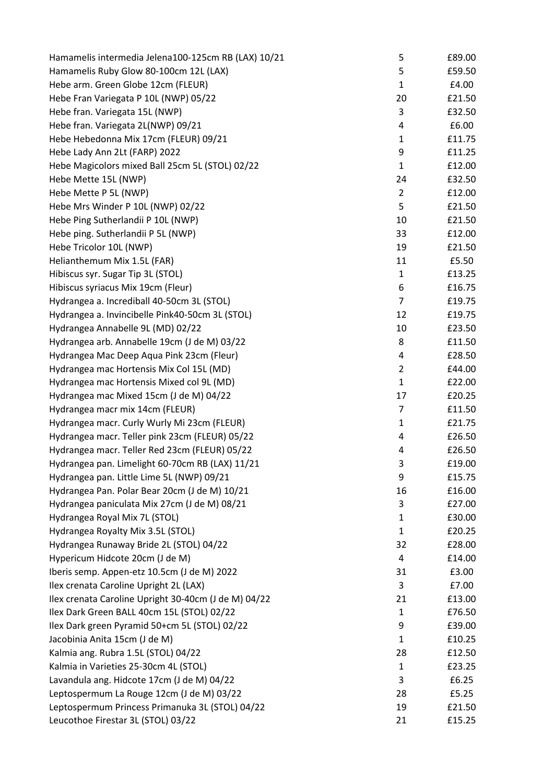| Hamamelis intermedia Jelena100-125cm RB (LAX) 10/21  | 5              | £89.00 |
|------------------------------------------------------|----------------|--------|
| Hamamelis Ruby Glow 80-100cm 12L (LAX)               | 5              | £59.50 |
| Hebe arm. Green Globe 12cm (FLEUR)                   | $\mathbf{1}$   | £4.00  |
| Hebe Fran Variegata P 10L (NWP) 05/22                | 20             | £21.50 |
| Hebe fran. Variegata 15L (NWP)                       | 3              | £32.50 |
| Hebe fran. Variegata 2L(NWP) 09/21                   | 4              | £6.00  |
| Hebe Hebedonna Mix 17cm (FLEUR) 09/21                | 1              | £11.75 |
| Hebe Lady Ann 2Lt (FARP) 2022                        | 9              | £11.25 |
| Hebe Magicolors mixed Ball 25cm 5L (STOL) 02/22      | $\mathbf{1}$   | £12.00 |
| Hebe Mette 15L (NWP)                                 | 24             | £32.50 |
| Hebe Mette P 5L (NWP)                                | $\overline{2}$ | £12.00 |
| Hebe Mrs Winder P 10L (NWP) 02/22                    | 5              | £21.50 |
| Hebe Ping Sutherlandii P 10L (NWP)                   | 10             | £21.50 |
| Hebe ping. Sutherlandii P 5L (NWP)                   | 33             | £12.00 |
| Hebe Tricolor 10L (NWP)                              | 19             | £21.50 |
| Helianthemum Mix 1.5L (FAR)                          | 11             | £5.50  |
| Hibiscus syr. Sugar Tip 3L (STOL)                    | $\mathbf{1}$   | £13.25 |
| Hibiscus syriacus Mix 19cm (Fleur)                   | 6              | £16.75 |
| Hydrangea a. Incrediball 40-50cm 3L (STOL)           | 7              | £19.75 |
| Hydrangea a. Invincibelle Pink40-50cm 3L (STOL)      | 12             | £19.75 |
| Hydrangea Annabelle 9L (MD) 02/22                    | 10             | £23.50 |
| Hydrangea arb. Annabelle 19cm (J de M) 03/22         | 8              | £11.50 |
| Hydrangea Mac Deep Aqua Pink 23cm (Fleur)            | 4              | £28.50 |
| Hydrangea mac Hortensis Mix Col 15L (MD)             | $\overline{2}$ | £44.00 |
| Hydrangea mac Hortensis Mixed col 9L (MD)            | $\mathbf{1}$   | £22.00 |
| Hydrangea mac Mixed 15cm (J de M) 04/22              | 17             | £20.25 |
| Hydrangea macr mix 14cm (FLEUR)                      | $\overline{7}$ | £11.50 |
| Hydrangea macr. Curly Wurly Mi 23cm (FLEUR)          | $\mathbf{1}$   | £21.75 |
| Hydrangea macr. Teller pink 23cm (FLEUR) 05/22       | 4              | £26.50 |
| Hydrangea macr. Teller Red 23cm (FLEUR) 05/22        | 4              | £26.50 |
| Hydrangea pan. Limelight 60-70cm RB (LAX) 11/21      | 3              | £19.00 |
| Hydrangea pan. Little Lime 5L (NWP) 09/21            | 9              | £15.75 |
| Hydrangea Pan. Polar Bear 20cm (J de M) 10/21        | 16             | £16.00 |
| Hydrangea paniculata Mix 27cm (J de M) 08/21         | 3              | £27.00 |
| Hydrangea Royal Mix 7L (STOL)                        | $\mathbf{1}$   | £30.00 |
| Hydrangea Royalty Mix 3.5L (STOL)                    | $\mathbf{1}$   | £20.25 |
| Hydrangea Runaway Bride 2L (STOL) 04/22              | 32             | £28.00 |
|                                                      |                |        |
| Hypericum Hidcote 20cm (J de M)                      | 4              | £14.00 |
| Iberis semp. Appen-etz 10.5cm (J de M) 2022          | 31             | £3.00  |
| Ilex crenata Caroline Upright 2L (LAX)               | 3              | £7.00  |
| Ilex crenata Caroline Upright 30-40cm (J de M) 04/22 | 21             | £13.00 |
| Ilex Dark Green BALL 40cm 15L (STOL) 02/22           | 1              | £76.50 |
| Ilex Dark green Pyramid 50+cm 5L (STOL) 02/22        | 9              | £39.00 |
| Jacobinia Anita 15cm (J de M)                        | $\mathbf{1}$   | £10.25 |
| Kalmia ang. Rubra 1.5L (STOL) 04/22                  | 28             | £12.50 |
| Kalmia in Varieties 25-30cm 4L (STOL)                | $\mathbf{1}$   | £23.25 |
| Lavandula ang. Hidcote 17cm (J de M) 04/22           | 3              | £6.25  |
| Leptospermum La Rouge 12cm (J de M) 03/22            | 28             | £5.25  |
| Leptospermum Princess Primanuka 3L (STOL) 04/22      | 19             | £21.50 |
| Leucothoe Firestar 3L (STOL) 03/22                   | 21             | £15.25 |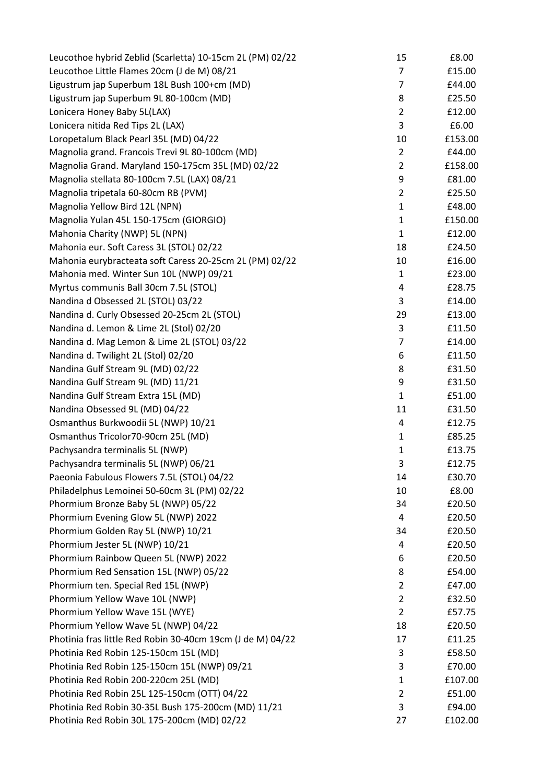| Leucothoe hybrid Zeblid (Scarletta) 10-15cm 2L (PM) 02/22  | 15             | £8.00   |
|------------------------------------------------------------|----------------|---------|
| Leucothoe Little Flames 20cm (J de M) 08/21                | 7              | £15.00  |
| Ligustrum jap Superbum 18L Bush 100+cm (MD)                | 7              | £44.00  |
| Ligustrum jap Superbum 9L 80-100cm (MD)                    | 8              | £25.50  |
| Lonicera Honey Baby 5L(LAX)                                | $\overline{2}$ | £12.00  |
| Lonicera nitida Red Tips 2L (LAX)                          | 3              | £6.00   |
| Loropetalum Black Pearl 35L (MD) 04/22                     | 10             | £153.00 |
| Magnolia grand. Francois Trevi 9L 80-100cm (MD)            | $\overline{2}$ | £44.00  |
| Magnolia Grand. Maryland 150-175cm 35L (MD) 02/22          | $\overline{2}$ | £158.00 |
| Magnolia stellata 80-100cm 7.5L (LAX) 08/21                | 9              | £81.00  |
| Magnolia tripetala 60-80cm RB (PVM)                        | $\overline{2}$ | £25.50  |
| Magnolia Yellow Bird 12L (NPN)                             | 1              | £48.00  |
| Magnolia Yulan 45L 150-175cm (GIORGIO)                     | 1              | £150.00 |
| Mahonia Charity (NWP) 5L (NPN)                             | $\mathbf{1}$   | £12.00  |
| Mahonia eur. Soft Caress 3L (STOL) 02/22                   | 18             | £24.50  |
| Mahonia eurybracteata soft Caress 20-25cm 2L (PM) 02/22    | 10             | £16.00  |
| Mahonia med. Winter Sun 10L (NWP) 09/21                    | $\mathbf{1}$   | £23.00  |
| Myrtus communis Ball 30cm 7.5L (STOL)                      | 4              | £28.75  |
| Nandina d Obsessed 2L (STOL) 03/22                         | 3              | £14.00  |
| Nandina d. Curly Obsessed 20-25cm 2L (STOL)                | 29             | £13.00  |
| Nandina d. Lemon & Lime 2L (Stol) 02/20                    | 3              | £11.50  |
| Nandina d. Mag Lemon & Lime 2L (STOL) 03/22                | 7              | £14.00  |
| Nandina d. Twilight 2L (Stol) 02/20                        | 6              | £11.50  |
| Nandina Gulf Stream 9L (MD) 02/22                          | 8              | £31.50  |
| Nandina Gulf Stream 9L (MD) 11/21                          | 9              | £31.50  |
| Nandina Gulf Stream Extra 15L (MD)                         | $\mathbf{1}$   | £51.00  |
| Nandina Obsessed 9L (MD) 04/22                             | 11             | £31.50  |
| Osmanthus Burkwoodii 5L (NWP) 10/21                        | 4              | £12.75  |
| Osmanthus Tricolor70-90cm 25L (MD)                         | $\mathbf{1}$   | £85.25  |
| Pachysandra terminalis 5L (NWP)                            | $\mathbf{1}$   | £13.75  |
| Pachysandra terminalis 5L (NWP) 06/21                      | 3              | £12.75  |
| Paeonia Fabulous Flowers 7.5L (STOL) 04/22                 | 14             | £30.70  |
| Philadelphus Lemoinei 50-60cm 3L (PM) 02/22                | 10             | £8.00   |
| Phormium Bronze Baby 5L (NWP) 05/22                        | 34             | £20.50  |
| Phormium Evening Glow 5L (NWP) 2022                        | 4              | £20.50  |
| Phormium Golden Ray 5L (NWP) 10/21                         | 34             | £20.50  |
| Phormium Jester 5L (NWP) 10/21                             | 4              | £20.50  |
| Phormium Rainbow Queen 5L (NWP) 2022                       | 6              | £20.50  |
| Phormium Red Sensation 15L (NWP) 05/22                     | 8              | £54.00  |
| Phormium ten. Special Red 15L (NWP)                        | 2              | £47.00  |
| Phormium Yellow Wave 10L (NWP)                             | $\overline{2}$ | £32.50  |
| Phormium Yellow Wave 15L (WYE)                             | $\overline{2}$ | £57.75  |
| Phormium Yellow Wave 5L (NWP) 04/22                        | 18             | £20.50  |
| Photinia fras little Red Robin 30-40cm 19cm (J de M) 04/22 | 17             | £11.25  |
| Photinia Red Robin 125-150cm 15L (MD)                      | 3              | £58.50  |
| Photinia Red Robin 125-150cm 15L (NWP) 09/21               | 3              | £70.00  |
| Photinia Red Robin 200-220cm 25L (MD)                      | 1              | £107.00 |
| Photinia Red Robin 25L 125-150cm (OTT) 04/22               | $\overline{2}$ | £51.00  |
| Photinia Red Robin 30-35L Bush 175-200cm (MD) 11/21        | 3              | £94.00  |
| Photinia Red Robin 30L 175-200cm (MD) 02/22                | 27             | £102.00 |
|                                                            |                |         |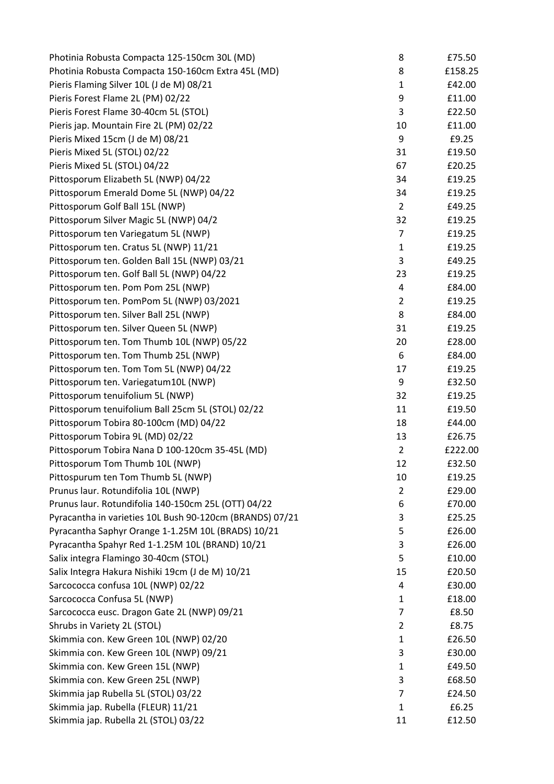| Photinia Robusta Compacta 125-150cm 30L (MD)             | 8              | £75.50  |
|----------------------------------------------------------|----------------|---------|
| Photinia Robusta Compacta 150-160cm Extra 45L (MD)       | 8              | £158.25 |
| Pieris Flaming Silver 10L (J de M) 08/21                 | 1              | £42.00  |
| Pieris Forest Flame 2L (PM) 02/22                        | 9              | £11.00  |
| Pieris Forest Flame 30-40cm 5L (STOL)                    | 3              | £22.50  |
| Pieris jap. Mountain Fire 2L (PM) 02/22                  | 10             | £11.00  |
| Pieris Mixed 15cm (J de M) 08/21                         | 9              | £9.25   |
| Pieris Mixed 5L (STOL) 02/22                             | 31             | £19.50  |
| Pieris Mixed 5L (STOL) 04/22                             | 67             | £20.25  |
| Pittosporum Elizabeth 5L (NWP) 04/22                     | 34             | £19.25  |
| Pittosporum Emerald Dome 5L (NWP) 04/22                  | 34             | £19.25  |
| Pittosporum Golf Ball 15L (NWP)                          | $\overline{2}$ | £49.25  |
| Pittosporum Silver Magic 5L (NWP) 04/2                   | 32             | £19.25  |
| Pittosporum ten Variegatum 5L (NWP)                      | $\overline{7}$ | £19.25  |
| Pittosporum ten. Cratus 5L (NWP) 11/21                   | $\mathbf{1}$   | £19.25  |
| Pittosporum ten. Golden Ball 15L (NWP) 03/21             | 3              | £49.25  |
| Pittosporum ten. Golf Ball 5L (NWP) 04/22                | 23             | £19.25  |
| Pittosporum ten. Pom Pom 25L (NWP)                       | 4              | £84.00  |
| Pittosporum ten. PomPom 5L (NWP) 03/2021                 | $\overline{2}$ | £19.25  |
| Pittosporum ten. Silver Ball 25L (NWP)                   | 8              | £84.00  |
| Pittosporum ten. Silver Queen 5L (NWP)                   | 31             | £19.25  |
| Pittosporum ten. Tom Thumb 10L (NWP) 05/22               | 20             | £28.00  |
| Pittosporum ten. Tom Thumb 25L (NWP)                     | 6              | £84.00  |
| Pittosporum ten. Tom Tom 5L (NWP) 04/22                  | 17             | £19.25  |
| Pittosporum ten. Variegatum10L (NWP)                     | 9              | £32.50  |
| Pittosporum tenuifolium 5L (NWP)                         | 32             | £19.25  |
| Pittosporum tenuifolium Ball 25cm 5L (STOL) 02/22        | 11             | £19.50  |
| Pittosporum Tobira 80-100cm (MD) 04/22                   | 18             | £44.00  |
| Pittosporum Tobira 9L (MD) 02/22                         | 13             | £26.75  |
| Pittosporum Tobira Nana D 100-120cm 35-45L (MD)          | $\overline{2}$ | £222.00 |
| Pittosporum Tom Thumb 10L (NWP)                          | 12             | £32.50  |
| Pittospurum ten Tom Thumb 5L (NWP)                       | 10             | £19.25  |
| Prunus laur. Rotundifolia 10L (NWP)                      | $\overline{2}$ | £29.00  |
| Prunus laur. Rotundifolia 140-150cm 25L (OTT) 04/22      | 6              | £70.00  |
| Pyracantha in varieties 10L Bush 90-120cm (BRANDS) 07/21 | 3              | £25.25  |
| Pyracantha Saphyr Orange 1-1.25M 10L (BRADS) 10/21       | 5              | £26.00  |
| Pyracantha Spahyr Red 1-1.25M 10L (BRAND) 10/21          | 3              | £26.00  |
| Salix integra Flamingo 30-40cm (STOL)                    | 5              | £10.00  |
| Salix Integra Hakura Nishiki 19cm (J de M) 10/21         | 15             | £20.50  |
| Sarcococca confusa 10L (NWP) 02/22                       | 4              | £30.00  |
| Sarcococca Confusa 5L (NWP)                              | 1              | £18.00  |
|                                                          |                |         |
| Sarcococca eusc. Dragon Gate 2L (NWP) 09/21              | 7              | £8.50   |
| Shrubs in Variety 2L (STOL)                              | $\overline{2}$ | £8.75   |
| Skimmia con. Kew Green 10L (NWP) 02/20                   | 1              | £26.50  |
| Skimmia con. Kew Green 10L (NWP) 09/21                   | 3              | £30.00  |
| Skimmia con. Kew Green 15L (NWP)                         | 1              | £49.50  |
| Skimmia con. Kew Green 25L (NWP)                         | 3              | £68.50  |
| Skimmia jap Rubella 5L (STOL) 03/22                      | 7              | £24.50  |
| Skimmia jap. Rubella (FLEUR) 11/21                       | 1              | £6.25   |
| Skimmia jap. Rubella 2L (STOL) 03/22                     | 11             | £12.50  |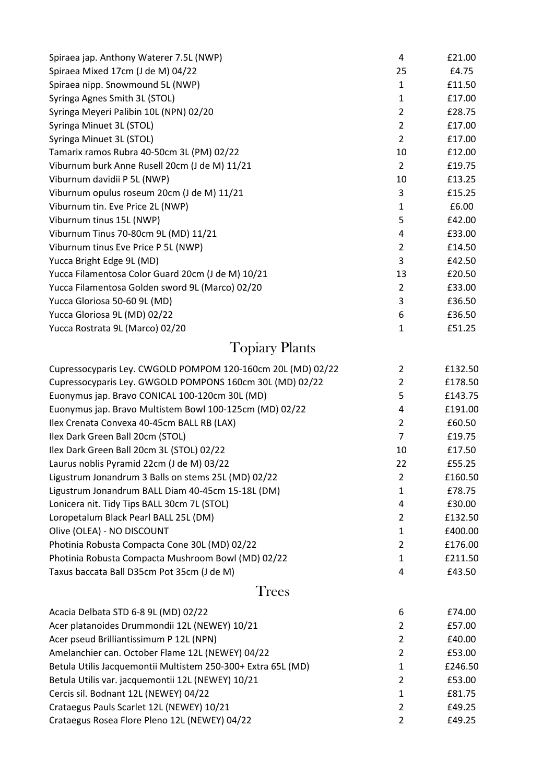| Spiraea jap. Anthony Waterer 7.5L (NWP)                      | 4              | £21.00  |
|--------------------------------------------------------------|----------------|---------|
| Spiraea Mixed 17cm (J de M) 04/22                            | 25             | £4.75   |
| Spiraea nipp. Snowmound 5L (NWP)                             | $\mathbf{1}$   | £11.50  |
| Syringa Agnes Smith 3L (STOL)                                | $\mathbf{1}$   | £17.00  |
| Syringa Meyeri Palibin 10L (NPN) 02/20                       | $\overline{2}$ | £28.75  |
| Syringa Minuet 3L (STOL)                                     | $\overline{2}$ | £17.00  |
| Syringa Minuet 3L (STOL)                                     | $\overline{2}$ | £17.00  |
| Tamarix ramos Rubra 40-50cm 3L (PM) 02/22                    | 10             | £12.00  |
| Viburnum burk Anne Rusell 20cm (J de M) 11/21                | $\overline{2}$ | £19.75  |
| Viburnum davidii P 5L (NWP)                                  | 10             | £13.25  |
| Viburnum opulus roseum 20cm (J de M) 11/21                   | 3              | £15.25  |
| Viburnum tin. Eve Price 2L (NWP)                             | $\mathbf{1}$   | £6.00   |
| Viburnum tinus 15L (NWP)                                     | 5              | £42.00  |
| Viburnum Tinus 70-80cm 9L (MD) 11/21                         | 4              | £33.00  |
| Viburnum tinus Eve Price P 5L (NWP)                          | $\overline{2}$ | £14.50  |
| Yucca Bright Edge 9L (MD)                                    | 3              | £42.50  |
| Yucca Filamentosa Color Guard 20cm (J de M) 10/21            | 13             | £20.50  |
| Yucca Filamentosa Golden sword 9L (Marco) 02/20              | $\overline{2}$ | £33.00  |
| Yucca Gloriosa 50-60 9L (MD)                                 | 3              | £36.50  |
| Yucca Gloriosa 9L (MD) 02/22                                 | 6              | £36.50  |
| Yucca Rostrata 9L (Marco) 02/20                              | $\mathbf{1}$   | £51.25  |
| <b>Topiary Plants</b>                                        |                |         |
| Cupressocyparis Ley. CWGOLD POMPOM 120-160cm 20L (MD) 02/22  | $\overline{2}$ | £132.50 |
| Cupressocyparis Ley. GWGOLD POMPONS 160cm 30L (MD) 02/22     | $\overline{2}$ | £178.50 |
| Euonymus jap. Bravo CONICAL 100-120cm 30L (MD)               | 5              | £143.75 |
| Euonymus jap. Bravo Multistem Bowl 100-125cm (MD) 02/22      | 4              | £191.00 |
| Ilex Crenata Convexa 40-45cm BALL RB (LAX)                   | $\overline{2}$ | £60.50  |
| Ilex Dark Green Ball 20cm (STOL)                             | 7              | £19.75  |
| Ilex Dark Green Ball 20cm 3L (STOL) 02/22                    | 10             | £17.50  |
| Laurus noblis Pyramid 22cm (J de M) 03/22                    | 22             | £55.25  |
| Ligustrum Jonandrum 3 Balls on stems 25L (MD) 02/22          | $\overline{2}$ | £160.50 |
| Ligustrum Jonandrum BALL Diam 40-45cm 15-18L (DM)            | 1              | £78.75  |
| Lonicera nit. Tidy Tips BALL 30cm 7L (STOL)                  | 4              | £30.00  |
| Loropetalum Black Pearl BALL 25L (DM)                        | $\overline{2}$ | £132.50 |
| Olive (OLEA) - NO DISCOUNT                                   | $\mathbf{1}$   | £400.00 |
| Photinia Robusta Compacta Cone 30L (MD) 02/22                | $\overline{2}$ | £176.00 |
| Photinia Robusta Compacta Mushroom Bowl (MD) 02/22           | 1              | £211.50 |
| Taxus baccata Ball D35cm Pot 35cm (J de M)                   | 4              | £43.50  |
| Trees                                                        |                |         |
| Acacia Delbata STD 6-8 9L (MD) 02/22                         | 6              | £74.00  |
| Acer platanoides Drummondii 12L (NEWEY) 10/21                | $\overline{2}$ | £57.00  |
| Acer pseud Brilliantissimum P 12L (NPN)                      | $\overline{2}$ | £40.00  |
| Amelanchier can. October Flame 12L (NEWEY) 04/22             | 2              | £53.00  |
| Betula Utilis Jacquemontii Multistem 250-300+ Extra 65L (MD) | 1              | £246.50 |
| Betula Utilis var. jacquemontii 12L (NEWEY) 10/21            | 2              | £53.00  |
| Cercis sil. Bodnant 12L (NEWEY) 04/22                        | 1              | £81.75  |
| Crataegus Pauls Scarlet 12L (NEWEY) 10/21                    | $\overline{2}$ | £49.25  |
| Crataegus Rosea Flore Pleno 12L (NEWEY) 04/22                | 2              | £49.25  |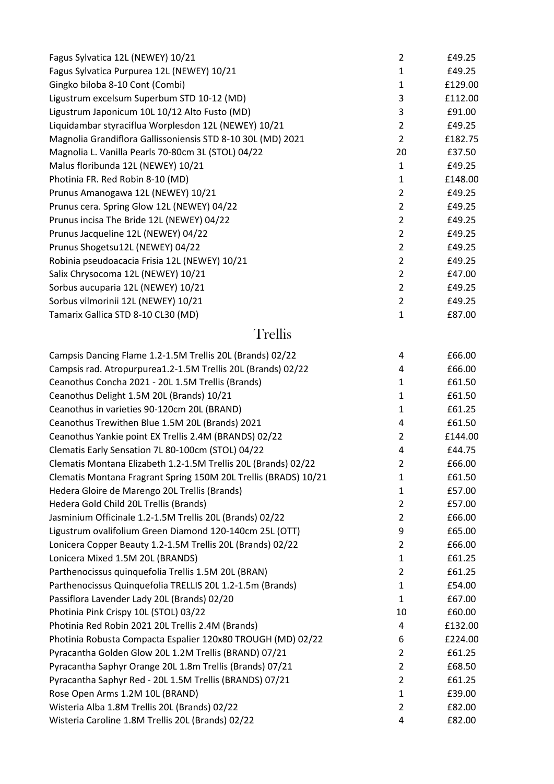| Fagus Sylvatica 12L (NEWEY) 10/21                               | $\overline{2}$ | £49.25  |
|-----------------------------------------------------------------|----------------|---------|
| Fagus Sylvatica Purpurea 12L (NEWEY) 10/21                      | $\mathbf{1}$   | £49.25  |
| Gingko biloba 8-10 Cont (Combi)                                 | 1              | £129.00 |
| Ligustrum excelsum Superbum STD 10-12 (MD)                      | 3              | £112.00 |
| Ligustrum Japonicum 10L 10/12 Alto Fusto (MD)                   | 3              | £91.00  |
| Liquidambar styraciflua Worplesdon 12L (NEWEY) 10/21            | $\overline{2}$ | £49.25  |
| Magnolia Grandiflora Gallissoniensis STD 8-10 30L (MD) 2021     | $\overline{2}$ | £182.75 |
| Magnolia L. Vanilla Pearls 70-80cm 3L (STOL) 04/22              | 20             | £37.50  |
| Malus floribunda 12L (NEWEY) 10/21                              | $\mathbf{1}$   | £49.25  |
| Photinia FR. Red Robin 8-10 (MD)                                | $\mathbf{1}$   | £148.00 |
| Prunus Amanogawa 12L (NEWEY) 10/21                              | $\overline{2}$ | £49.25  |
| Prunus cera. Spring Glow 12L (NEWEY) 04/22                      | $\overline{2}$ | £49.25  |
| Prunus incisa The Bride 12L (NEWEY) 04/22                       | $\overline{2}$ | £49.25  |
| Prunus Jacqueline 12L (NEWEY) 04/22                             | $\overline{2}$ | £49.25  |
| Prunus Shogetsu12L (NEWEY) 04/22                                | $\overline{2}$ | £49.25  |
| Robinia pseudoacacia Frisia 12L (NEWEY) 10/21                   | $\overline{2}$ | £49.25  |
| Salix Chrysocoma 12L (NEWEY) 10/21                              | $\overline{2}$ | £47.00  |
| Sorbus aucuparia 12L (NEWEY) 10/21                              | $\overline{2}$ | £49.25  |
| Sorbus vilmorinii 12L (NEWEY) 10/21                             | $\overline{2}$ | £49.25  |
| Tamarix Gallica STD 8-10 CL30 (MD)                              | 1              | £87.00  |
| Trellis                                                         |                |         |
| Campsis Dancing Flame 1.2-1.5M Trellis 20L (Brands) 02/22       | 4              | £66.00  |
| Campsis rad. Atropurpurea1.2-1.5M Trellis 20L (Brands) 02/22    | 4              | £66.00  |
| Ceanothus Concha 2021 - 20L 1.5M Trellis (Brands)               | 1              | £61.50  |
| Ceanothus Delight 1.5M 20L (Brands) 10/21                       | $\mathbf{1}$   | £61.50  |
| Ceanothus in varieties 90-120cm 20L (BRAND)                     | 1              | £61.25  |
| Ceanothus Trewithen Blue 1.5M 20L (Brands) 2021                 | 4              | £61.50  |
| Ceanothus Yankie point EX Trellis 2.4M (BRANDS) 02/22           | $\overline{2}$ | £144.00 |
| Clematis Early Sensation 7L 80-100cm (STOL) 04/22               | 4              | £44.75  |
| Clematis Montana Elizabeth 1.2-1.5M Trellis 20L (Brands) 02/22  | $\overline{2}$ | £66.00  |
| Clematis Montana Fragrant Spring 150M 20L Trellis (BRADS) 10/21 | 1              | £61.50  |
| Hedera Gloire de Marengo 20L Trellis (Brands)                   | 1              | £57.00  |
| Hedera Gold Child 20L Trellis (Brands)                          | $\overline{2}$ | £57.00  |
| Jasminium Officinale 1.2-1.5M Trellis 20L (Brands) 02/22        | $\overline{2}$ | £66.00  |
| Ligustrum ovalifolium Green Diamond 120-140cm 25L (OTT)         | 9              | £65.00  |
| Lonicera Copper Beauty 1.2-1.5M Trellis 20L (Brands) 02/22      | 2              | £66.00  |
| Lonicera Mixed 1.5M 20L (BRANDS)                                | 1              | £61.25  |
| Parthenocissus quinquefolia Trellis 1.5M 20L (BRAN)             | $\overline{2}$ | £61.25  |
| Parthenocissus Quinquefolia TRELLIS 20L 1.2-1.5m (Brands)       | 1              | £54.00  |
| Passiflora Lavender Lady 20L (Brands) 02/20                     | 1              | £67.00  |
| Photinia Pink Crispy 10L (STOL) 03/22                           | 10             | £60.00  |
| Photinia Red Robin 2021 20L Trellis 2.4M (Brands)               | 4              | £132.00 |
| Photinia Robusta Compacta Espalier 120x80 TROUGH (MD) 02/22     | 6              | £224.00 |
| Pyracantha Golden Glow 20L 1.2M Trellis (BRAND) 07/21           | $\overline{2}$ | £61.25  |
| Pyracantha Saphyr Orange 20L 1.8m Trellis (Brands) 07/21        | $\overline{2}$ | £68.50  |
| Pyracantha Saphyr Red - 20L 1.5M Trellis (BRANDS) 07/21         | $\overline{2}$ | £61.25  |
| Rose Open Arms 1.2M 10L (BRAND)                                 | $\mathbf{1}$   | £39.00  |
| Wisteria Alba 1.8M Trellis 20L (Brands) 02/22                   | $\overline{2}$ | £82.00  |
| Wisteria Caroline 1.8M Trellis 20L (Brands) 02/22               | 4              | £82.00  |
|                                                                 |                |         |